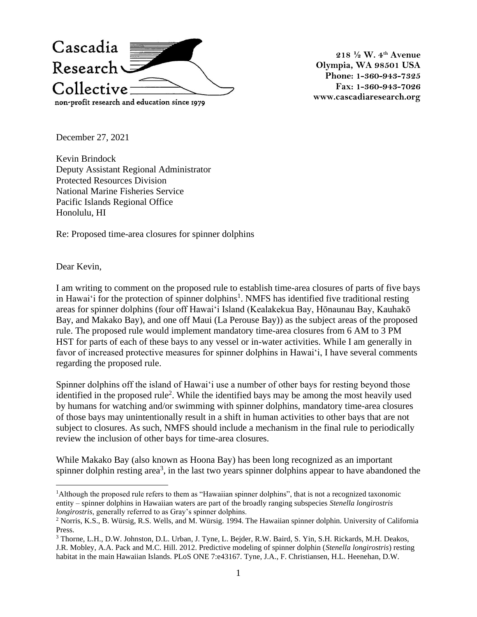

**218 ½ W. 4th Avenue Olympia, WA 98501 USA Phone: 1-360-943-7325 Fax: 1-360-943-7026 www.cascadiaresearch.org**

December 27, 2021

Kevin Brindock Deputy Assistant Regional Administrator Protected Resources Division National Marine Fisheries Service Pacific Islands Regional Office Honolulu, HI

Re: Proposed time-area closures for spinner dolphins

Dear Kevin,

I am writing to comment on the proposed rule to establish time-area closures of parts of five bays in Hawai'i for the protection of spinner dolphins<sup>1</sup>. NMFS has identified five traditional resting areas for spinner dolphins (four off Hawaiʻi Island (Kealakekua Bay, Hōnaunau Bay, Kauhakō Bay, and Makako Bay), and one off Maui (La Perouse Bay)) as the subject areas of the proposed rule. The proposed rule would implement mandatory time-area closures from 6 AM to 3 PM HST for parts of each of these bays to any vessel or in-water activities. While I am generally in favor of increased protective measures for spinner dolphins in Hawaiʻi, I have several comments regarding the proposed rule.

Spinner dolphins off the island of Hawaiʻi use a number of other bays for resting beyond those identified in the proposed rule<sup>2</sup>. While the identified bays may be among the most heavily used by humans for watching and/or swimming with spinner dolphins, mandatory time-area closures of those bays may unintentionally result in a shift in human activities to other bays that are not subject to closures. As such, NMFS should include a mechanism in the final rule to periodically review the inclusion of other bays for time-area closures.

While Makako Bay (also known as Hoona Bay) has been long recognized as an important spinner dolphin resting area<sup>3</sup>, in the last two years spinner dolphins appear to have abandoned the

<sup>1</sup>Although the proposed rule refers to them as "Hawaiian spinner dolphins", that is not a recognized taxonomic entity – spinner dolphins in Hawaiian waters are part of the broadly ranging subspecies *Stenella longirostris longirostris*, generally referred to as Gray's spinner dolphins.

<sup>2</sup> Norris, K.S., B. Würsig, R.S. Wells, and M. Würsig. 1994. The Hawaiian spinner dolphin. University of California Press.

<sup>3</sup> Thorne, L.H., D.W. Johnston, D.L. Urban, J. Tyne, L. Bejder, R.W. Baird, S. Yin, S.H. Rickards, M.H. Deakos, J.R. Mobley, A.A. Pack and M.C. Hill. 2012. Predictive modeling of spinner dolphin (*Stenella longirostris*) resting habitat in the main Hawaiian Islands. PLoS ONE 7:e43167. Tyne, J.A., F. Christiansen, H.L. Heenehan, D.W.